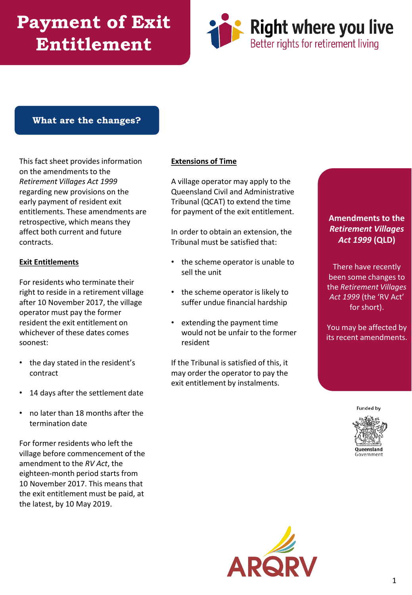# **Payment of Exit Entitlement**



#### **What are the changes?**

This fact sheet provides information on the amendments to the *Retirement Villages Act 1999*  regarding new provisions on the early payment of resident exit entitlements. These amendments are retrospective, which means they affect both current and future contracts.

#### **Exit Entitlements**

For residents who terminate their right to reside in a retirement village after 10 November 2017, the village operator must pay the former resident the exit entitlement on whichever of these dates comes soonest:

- the day stated in the resident's contract
- 14 days after the settlement date
- no later than 18 months after the termination date

For former residents who left the village before commencement of the amendment to the *RV Act*, the eighteen-month period starts from 10 November 2017. This means that the exit entitlement must be paid, at the latest, by 10 May 2019.

#### **Extensions of Time**

A village operator may apply to the Queensland Civil and Administrative Tribunal (QCAT) to extend the time for payment of the exit entitlement.

In order to obtain an extension, the Tribunal must be satisfied that:

- the scheme operator is unable to sell the unit
- the scheme operator is likely to suffer undue financial hardship
- extending the payment time would not be unfair to the former resident

If the Tribunal is satisfied of this, it may order the operator to pay the exit entitlement by instalments.

#### **Amendments to the**  *Retirement Villages Act 1999* **(QLD)**

There have recently been some changes to the *Retirement Villages Act 1999* (the 'RV Act' for short).

You may be affected by its recent amendments.

**Funded by**